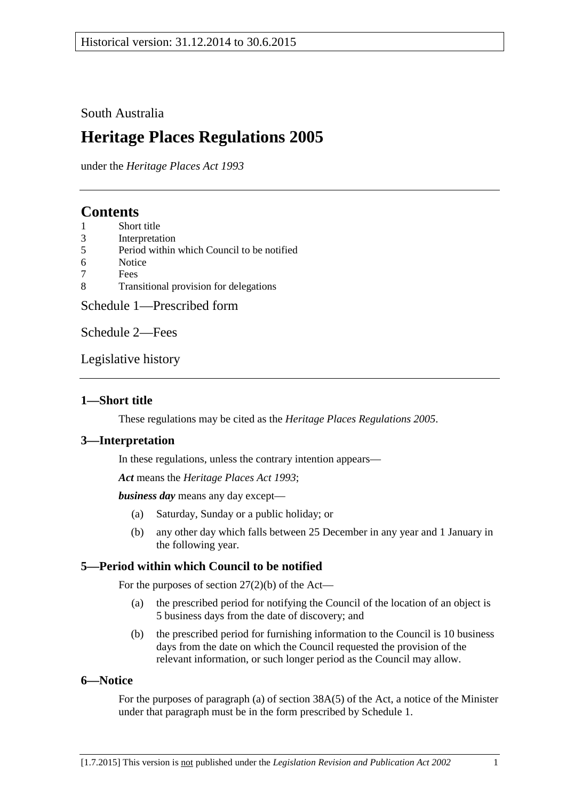## South Australia

# **Heritage Places Regulations 2005**

under the *Heritage Places Act 1993*

# **Contents**

- 1 [Short title](#page-0-0)
- 3 [Interpretation](#page-0-1)<br>5 Period within
- 5 [Period within which Council to be notified](#page-0-2)
- 6 [Notice](#page-0-3)
- 7 [Fees](#page-1-0)<br>8 Tran
- 8 [Transitional provision for delegations](#page-1-1)

[Schedule 1—Prescribed form](#page-2-0)

[Schedule 2—Fees](#page-4-0)

[Legislative history](#page-6-0)

## <span id="page-0-0"></span>**1—Short title**

These regulations may be cited as the *Heritage Places Regulations 2005*.

### <span id="page-0-1"></span>**3—Interpretation**

In these regulations, unless the contrary intention appears—

*Act* means the *[Heritage Places Act](http://www.legislation.sa.gov.au/index.aspx?action=legref&type=act&legtitle=Heritage%20Places%20Act%201993) 1993*;

*business day* means any day except—

- (a) Saturday, Sunday or a public holiday; or
- (b) any other day which falls between 25 December in any year and 1 January in the following year.

# <span id="page-0-2"></span>**5—Period within which Council to be notified**

For the purposes of section  $27(2)(b)$  of the Act—

- (a) the prescribed period for notifying the Council of the location of an object is 5 business days from the date of discovery; and
- (b) the prescribed period for furnishing information to the Council is 10 business days from the date on which the Council requested the provision of the relevant information, or such longer period as the Council may allow.

### <span id="page-0-3"></span>**6—Notice**

For the purposes of paragraph (a) of section 38A(5) of the Act, a notice of the Minister under that paragraph must be in the form prescribed by [Schedule 1.](#page-2-0)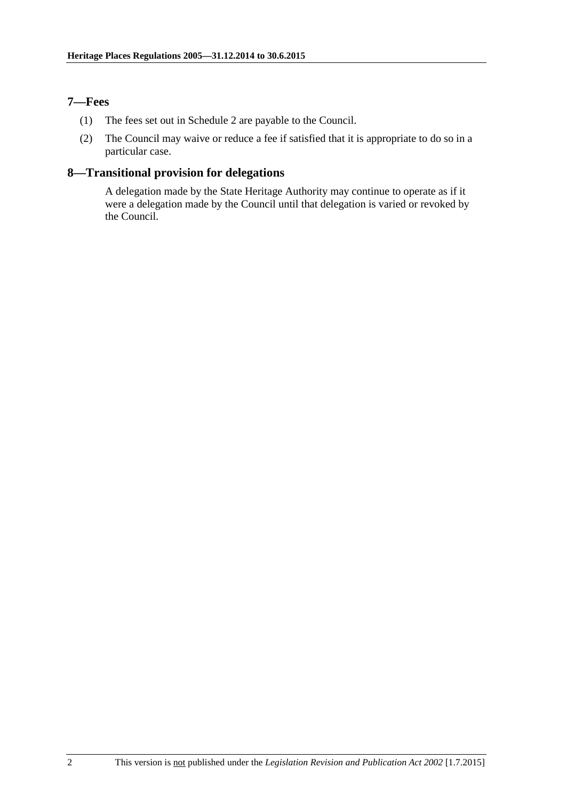### <span id="page-1-0"></span>**7—Fees**

- (1) The fees set out in [Schedule 2](#page-4-0) are payable to the Council.
- (2) The Council may waive or reduce a fee if satisfied that it is appropriate to do so in a particular case.

## <span id="page-1-1"></span>**8—Transitional provision for delegations**

A delegation made by the State Heritage Authority may continue to operate as if it were a delegation made by the Council until that delegation is varied or revoked by the Council.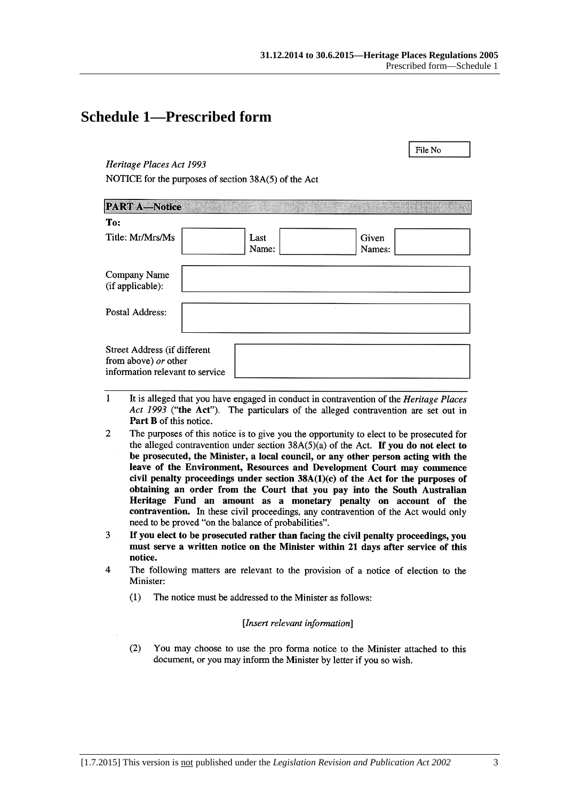File No

# <span id="page-2-0"></span>**Schedule 1—Prescribed form**

### Heritage Places Act 1993

NOTICE for the purposes of section 38A(5) of the Act

| <b>PART A-Notice</b>                                                                    |               |                 |
|-----------------------------------------------------------------------------------------|---------------|-----------------|
| To:                                                                                     |               |                 |
| Title: Mr/Mrs/Ms                                                                        | Last<br>Name: | Given<br>Names: |
| Company Name<br>(if applicable):                                                        |               |                 |
| Postal Address:                                                                         |               |                 |
| Street Address (if different<br>from above) or other<br>information relevant to service |               |                 |

- $\mathbf{1}$ It is alleged that you have engaged in conduct in contravention of the *Heritage Places* Act 1993 ("the Act"). The particulars of the alleged contravention are set out in Part B of this notice.
- $\overline{2}$ The purposes of this notice is to give you the opportunity to elect to be prosecuted for the alleged contravention under section  $38A(5)(a)$  of the Act. If you do not elect to be prosecuted, the Minister, a local council, or any other person acting with the leave of the Environment, Resources and Development Court may commence civil penalty proceedings under section  $38A(1)(c)$  of the Act for the purposes of obtaining an order from the Court that you pay into the South Australian Heritage Fund an amount as a monetary penalty on account of the contravention. In these civil proceedings, any contravention of the Act would only need to be proved "on the balance of probabilities".
- 3 If you elect to be prosecuted rather than facing the civil penalty proceedings, you must serve a written notice on the Minister within 21 days after service of this notice.
- $\overline{4}$ The following matters are relevant to the provision of a notice of election to the Minister:
	- $(1)$ The notice must be addressed to the Minister as follows:

### [Insert relevant information]

 $(2)$ You may choose to use the pro forma notice to the Minister attached to this document, or you may inform the Minister by letter if you so wish.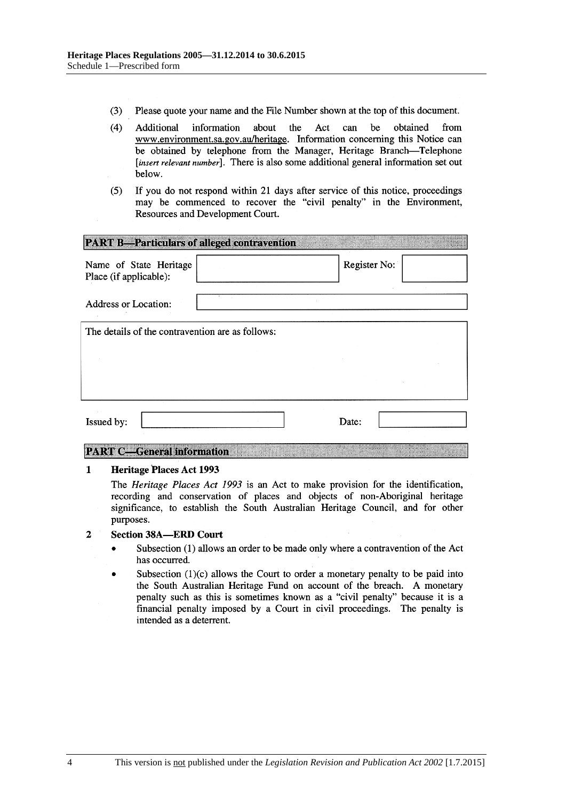- $(3)$ Please quote your name and the File Number shown at the top of this document.
- $(4)$ be Additional information about the Act can obtained from www.environment.sa.gov.au/heritage. Information concerning this Notice can be obtained by telephone from the Manager, Heritage Branch-Telephone [insert relevant number]. There is also some additional general information set out below.
- $(5)$ If you do not respond within 21 days after service of this notice, proceedings may be commenced to recover the "civil penalty" in the Environment, Resources and Development Court.

| <b>PART B-Particulars of alleged contravention</b> |  |              |  |  |  |
|----------------------------------------------------|--|--------------|--|--|--|
| Name of State Heritage<br>Place (if applicable):   |  | Register No: |  |  |  |
| <b>Address or Location:</b>                        |  |              |  |  |  |
| The details of the contravention are as follows:   |  |              |  |  |  |
|                                                    |  |              |  |  |  |
|                                                    |  |              |  |  |  |
| Issued by:                                         |  | Date:        |  |  |  |

### **PART C-General information**

#### $\mathbf{1}$ **Heritage Places Act 1993**

The Heritage Places Act 1993 is an Act to make provision for the identification, recording and conservation of places and objects of non-Aboriginal heritage significance, to establish the South Australian Heritage Council, and for other purposes.

#### $\overline{2}$ **Section 38A-ERD Court**

- Subsection (1) allows an order to be made only where a contravention of the Act  $\bullet$ has occurred.
- Subsection  $(1)(c)$  allows the Court to order a monetary penalty to be paid into the South Australian Heritage Fund on account of the breach. A monetary penalty such as this is sometimes known as a "civil penalty" because it is a financial penalty imposed by a Court in civil proceedings. The penalty is intended as a deterrent.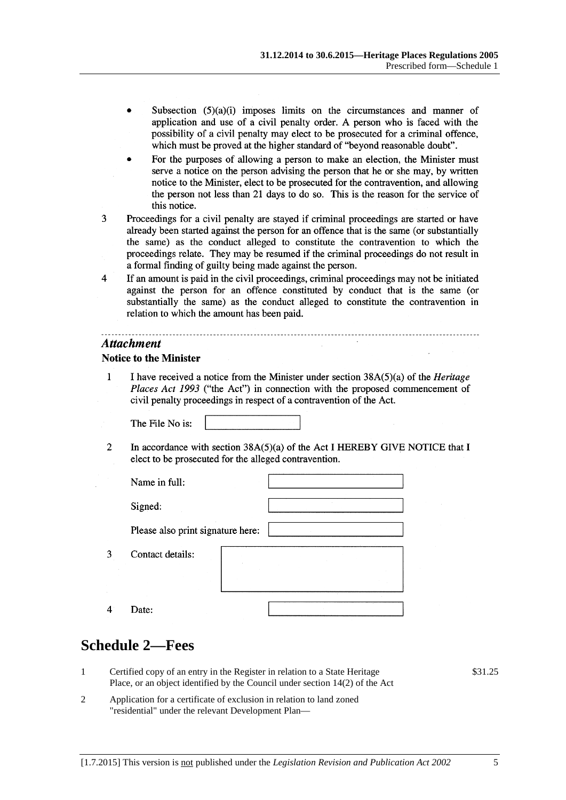- Subsection  $(5)(a)(i)$  imposes limits on the circumstances and manner of application and use of a civil penalty order. A person who is faced with the possibility of a civil penalty may elect to be prosecuted for a criminal offence, which must be proved at the higher standard of "beyond reasonable doubt".
- For the purposes of allowing a person to make an election, the Minister must serve a notice on the person advising the person that he or she may, by written notice to the Minister, elect to be prosecuted for the contravention, and allowing the person not less than 21 days to do so. This is the reason for the service of this notice.
- 3 Proceedings for a civil penalty are stayed if criminal proceedings are started or have already been started against the person for an offence that is the same (or substantially the same) as the conduct alleged to constitute the contravention to which the proceedings relate. They may be resumed if the criminal proceedings do not result in a formal finding of guilty being made against the person.
- $\overline{4}$ If an amount is paid in the civil proceedings, criminal proceedings may not be initiated against the person for an offence constituted by conduct that is the same (or substantially the same) as the conduct alleged to constitute the contravention in relation to which the amount has been paid.

### **Attachment**

### **Notice to the Minister**

 $\mathbf{1}$ I have received a notice from the Minister under section  $38A(5)(a)$  of the *Heritage* Places Act 1993 ("the Act") in connection with the proposed commencement of civil penalty proceedings in respect of a contravention of the Act.

The File No is:

 $\overline{2}$ In accordance with section  $38A(5)(a)$  of the Act I HEREBY GIVE NOTICE that I elect to be prosecuted for the alleged contravention.

| Name in full:                     |  |  |
|-----------------------------------|--|--|
| Signed:                           |  |  |
| Please also print signature here: |  |  |
| Contact details:                  |  |  |
|                                   |  |  |
|                                   |  |  |
| Date:                             |  |  |

# <span id="page-4-0"></span>**Schedule 2—Fees**

3

 $\overline{4}$ 

- 1 Certified copy of an entry in the Register in relation to a State Heritage Place, or an object identified by the Council under section 14(2) of the Act
- 2 Application for a certificate of exclusion in relation to land zoned "residential" under the relevant Development Plan—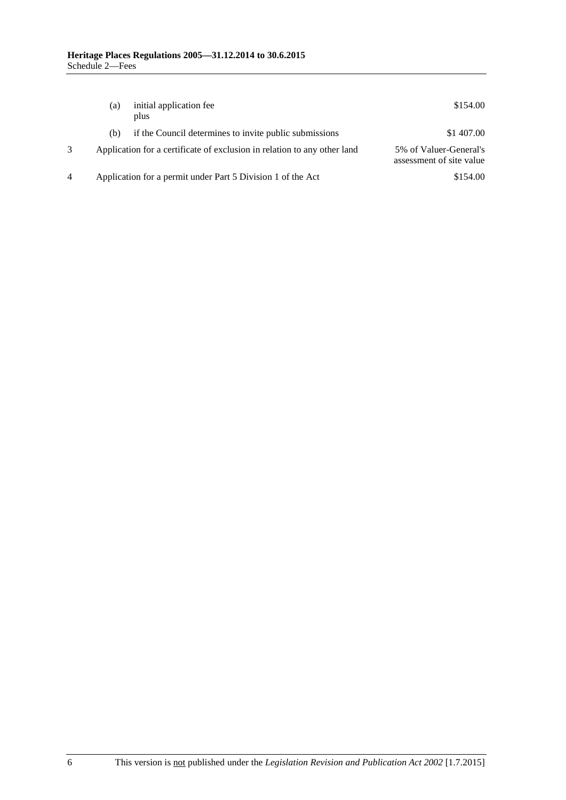|   | (a) | initial application fee<br>plus                                          | \$154.00                                           |
|---|-----|--------------------------------------------------------------------------|----------------------------------------------------|
|   | (b) | if the Council determines to invite public submissions                   | \$1 407.00                                         |
|   |     | Application for a certificate of exclusion in relation to any other land | 5% of Valuer-General's<br>assessment of site value |
| 4 |     | Application for a permit under Part 5 Division 1 of the Act              | \$154.00                                           |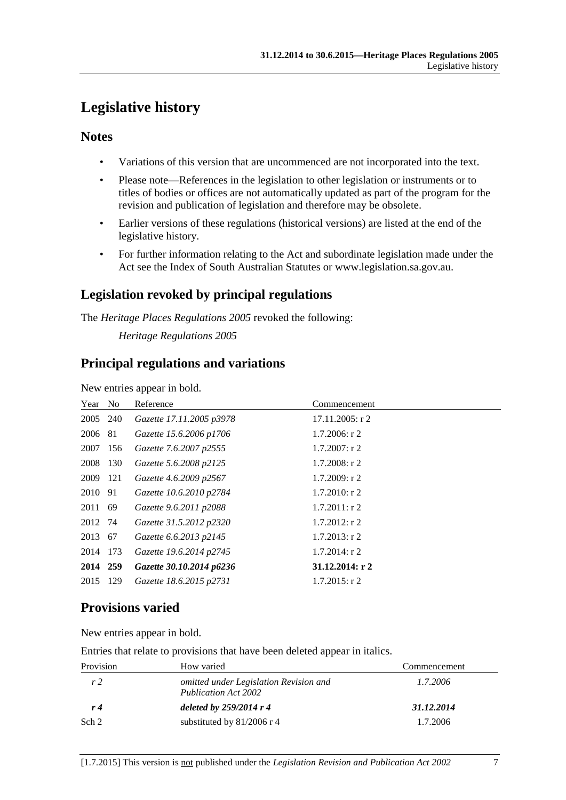# <span id="page-6-0"></span>**Legislative history**

## **Notes**

- Variations of this version that are uncommenced are not incorporated into the text.
- Please note—References in the legislation to other legislation or instruments or to titles of bodies or offices are not automatically updated as part of the program for the revision and publication of legislation and therefore may be obsolete.
- Earlier versions of these regulations (historical versions) are listed at the end of the legislative history.
- For further information relating to the Act and subordinate legislation made under the Act see the Index of South Australian Statutes or www.legislation.sa.gov.au.

# **Legislation revoked by principal regulations**

The *Heritage Places Regulations 2005* revoked the following: *Heritage Regulations 2005*

# **Principal regulations and variations**

New entries appear in bold.

| Year No  |     | Reference                | Commencement       |
|----------|-----|--------------------------|--------------------|
| 2005 240 |     | Gazette 17.11.2005 p3978 | $17.11.2005$ : r 2 |
| 2006 81  |     | Gazette 15.6.2006 p1706  | $1.7.2006$ : r 2   |
| 2007 156 |     | Gazette 7.6.2007 p2555   | $1.7.2007$ : r 2   |
| 2008 130 |     | Gazette 5.6.2008 p2125   | $1.7.2008$ : r 2   |
| 2009 121 |     | Gazette 4.6.2009 p2567   | $1.7.2009$ : r 2   |
| 2010 91  |     | Gazette 10.6.2010 p2784  | $1.7.2010$ : r 2   |
| 2011 69  |     | Gazette 9.6.2011 p2088   | $1.7.2011$ : r 2   |
| 2012 74  |     | Gazette 31.5.2012 p2320  | $1.7.2012$ : r 2   |
| 2013 67  |     | Gazette 6.6.2013 p2145   | $1.7.2013$ : r 2   |
| 2014 173 |     | Gazette 19.6.2014 p2745  | $1.7.2014$ : r 2   |
| 2014 259 |     | Gazette 30.10.2014 p6236 | 31.12.2014: r2     |
| 2015     | 129 | Gazette 18.6.2015 p2731  | $1.7.2015$ : r 2   |

# **Provisions varied**

New entries appear in bold.

Entries that relate to provisions that have been deleted appear in italics.

| Provision      | How varied                                                     | Commencement |
|----------------|----------------------------------------------------------------|--------------|
| r <sub>2</sub> | omitted under Legislation Revision and<br>Publication Act 2002 | 1.7.2006     |
| r4             | deleted by $259/2014$ r 4                                      | 31.12.2014   |
| Sch 2          | substituted by $81/2006$ r 4                                   | 1.7.2006     |